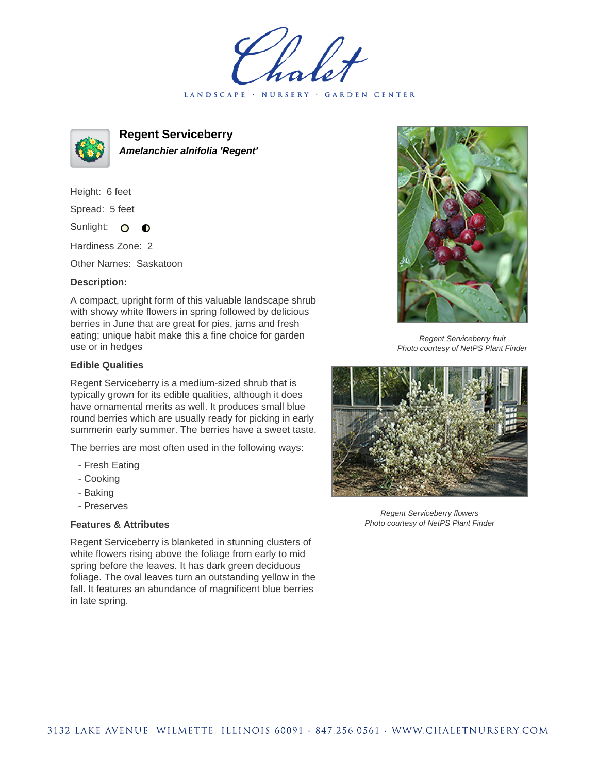LANDSCAPE · NURSERY · GARDEN CENTER



**Regent Serviceberry Amelanchier alnifolia 'Regent'**

Height: 6 feet Spread: 5 feet

Sunlight: O  $\bullet$ 

Hardiness Zone: 2

Other Names: Saskatoon

## **Description:**

A compact, upright form of this valuable landscape shrub with showy white flowers in spring followed by delicious berries in June that are great for pies, jams and fresh eating; unique habit make this a fine choice for garden use or in hedges

## **Edible Qualities**

Regent Serviceberry is a medium-sized shrub that is typically grown for its edible qualities, although it does have ornamental merits as well. It produces small blue round berries which are usually ready for picking in early summerin early summer. The berries have a sweet taste.

The berries are most often used in the following ways:

- Fresh Eating
- Cooking
- Baking
- Preserves

## **Features & Attributes**

Regent Serviceberry is blanketed in stunning clusters of white flowers rising above the foliage from early to mid spring before the leaves. It has dark green deciduous foliage. The oval leaves turn an outstanding yellow in the fall. It features an abundance of magnificent blue berries in late spring.



Regent Serviceberry fruit Photo courtesy of NetPS Plant Finder



Regent Serviceberry flowers Photo courtesy of NetPS Plant Finder